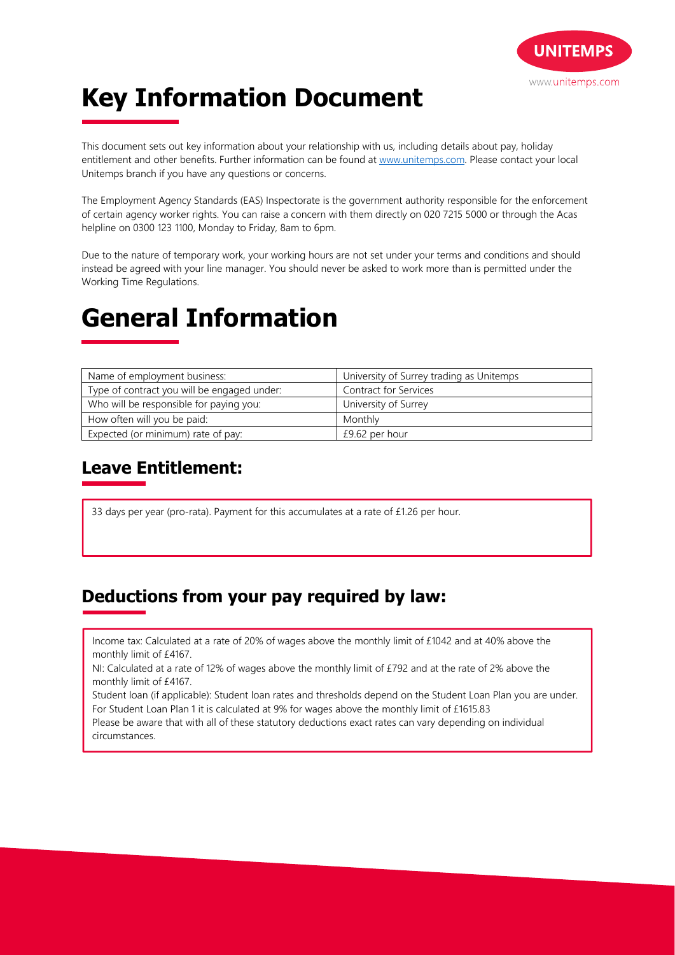

# **Key Information Document**

This document sets out key information about your relationship with us, including details about pay, holiday entitlement and other benefits. Further information can be found at www.unitemps.com. Please contact your local Unitemps branch if you have any questions or concerns.

The Employment Agency Standards (EAS) Inspectorate is the government authority responsible for the enforcement of certain agency worker rights. You can raise a concern with them directly on 020 7215 5000 or through the Acas helpline on 0300 123 1100, Monday to Friday, 8am to 6pm.

Due to the nature of temporary work, your working hours are not set under your terms and conditions and should instead be agreed with your line manager. You should never be asked to work more than is permitted under the Working Time Regulations.

## **General Information**

| Name of employment business:                | University of Surrey trading as Unitemps |
|---------------------------------------------|------------------------------------------|
| Type of contract you will be engaged under: | <b>Contract for Services</b>             |
| Who will be responsible for paying you:     | University of Surrey                     |
| How often will you be paid:                 | Monthly                                  |
| Expected (or minimum) rate of pay:          | £9.62 per hour                           |

### **Leave Entitlement:**

33 days per year (pro-rata). Payment for this accumulates at a rate of £1.26 per hour.

#### **Deductions from your pay required by law:**

Income tax: Calculated at a rate of 20% of wages above the monthly limit of £1042 and at 40% above the monthly limit of £4167.

NI: Calculated at a rate of 12% of wages above the monthly limit of £792 and at the rate of 2% above the monthly limit of £4167.

Student loan (if applicable): Student loan rates and thresholds depend on the Student Loan Plan you are under. For Student Loan Plan 1 it is calculated at 9% for wages above the monthly limit of £1615.83

Please be aware that with all of these statutory deductions exact rates can vary depending on individual circumstances.